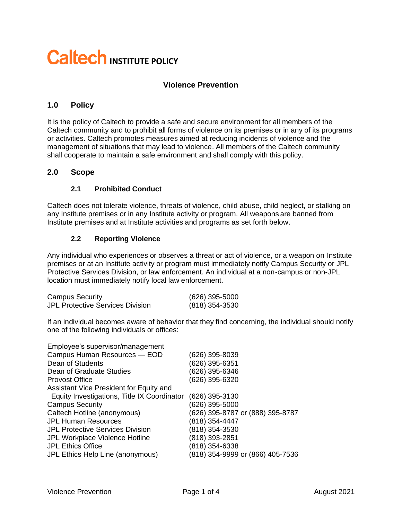# **Caltech INSTITUTE POLICY**

## **Violence Prevention**

## **1.0 Policy**

It is the policy of Caltech to provide a safe and secure environment for all members of the Caltech community and to prohibit all forms of violence on its premises or in any of its programs or activities. Caltech promotes measures aimed at reducing incidents of violence and the management of situations that may lead to violence. All members of the Caltech community shall cooperate to maintain a safe environment and shall comply with this policy.

#### **2.0 Scope**

#### **2.1 Prohibited Conduct**

Caltech does not tolerate violence, threats of violence, child abuse, child neglect, or stalking on any Institute premises or in any Institute activity or program. All weapons are banned from Institute premises and at Institute activities and programs as set forth below.

#### **2.2 Reporting Violence**

Any individual who experiences or observes a threat or act of violence, or a weapon on Institute premises or at an Institute activity or program must immediately notify Campus Security or JPL Protective Services Division, or law enforcement. An individual at a non-campus or non-JPL location must immediately notify local law enforcement.

| <b>Campus Security</b>                  | $(626)$ 395-5000 |
|-----------------------------------------|------------------|
| <b>JPL Protective Services Division</b> | $(818)$ 354-3530 |

If an individual becomes aware of behavior that they find concerning, the individual should notify one of the following individuals or offices:

| Employee's supervisor/management            |                                  |
|---------------------------------------------|----------------------------------|
| Campus Human Resources - EOD                | (626) 395-8039                   |
| Dean of Students                            | (626) 395-6351                   |
| Dean of Graduate Studies                    | (626) 395-6346                   |
| <b>Provost Office</b>                       | (626) 395-6320                   |
| Assistant Vice President for Equity and     |                                  |
| Equity Investigations, Title IX Coordinator | (626) 395-3130                   |
| <b>Campus Security</b>                      | (626) 395-5000                   |
| Caltech Hotline (anonymous)                 | (626) 395-8787 or (888) 395-8787 |
| <b>JPL Human Resources</b>                  | (818) 354-4447                   |
| <b>JPL Protective Services Division</b>     | (818) 354-3530                   |
| JPL Workplace Violence Hotline              | (818) 393-2851                   |
| <b>JPL Ethics Office</b>                    | (818) 354-6338                   |
| JPL Ethics Help Line (anonymous)            | (818) 354-9999 or (866) 405-7536 |
|                                             |                                  |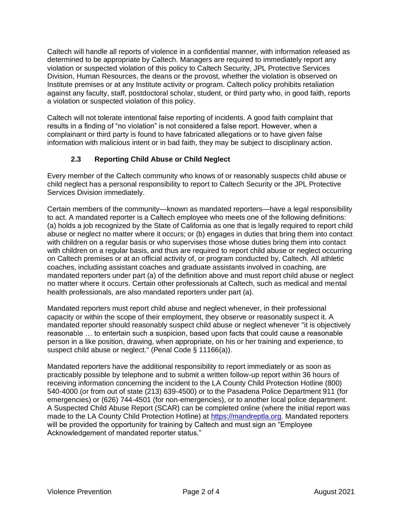Caltech will handle all reports of violence in a confidential manner, with information released as determined to be appropriate by Caltech. Managers are required to immediately report any violation or suspected violation of this policy to Caltech Security, JPL Protective Services Division, Human Resources, the deans or the provost, whether the violation is observed on Institute premises or at any Institute activity or program. Caltech policy prohibits retaliation against any faculty, staff, postdoctoral scholar, student, or third party who, in good faith, reports a violation or suspected violation of this policy.

Caltech will not tolerate intentional false reporting of incidents. A good faith complaint that results in a finding of "no violation" is not considered a false report. However, when a complainant or third party is found to have fabricated allegations or to have given false information with malicious intent or in bad faith, they may be subject to disciplinary action.

## **2.3 Reporting Child Abuse or Child Neglect**

Every member of the Caltech community who knows of or reasonably suspects child abuse or child neglect has a personal responsibility to report to Caltech Security or the JPL Protective Services Division immediately.

Certain members of the community—known as mandated reporters—have a legal responsibility to act. A mandated reporter is a Caltech employee who meets one of the following definitions: (a) holds a job recognized by the State of California as one that is legally required to report child abuse or neglect no matter where it occurs; or (b) engages in duties that bring them into contact with children on a regular basis or who supervises those whose duties bring them into contact with children on a regular basis, and thus are required to report child abuse or neglect occurring on Caltech premises or at an official activity of, or program conducted by, Caltech. All athletic coaches, including assistant coaches and graduate assistants involved in coaching, are mandated reporters under part (a) of the definition above and must report child abuse or neglect no matter where it occurs. Certain other professionals at Caltech, such as medical and mental health professionals, are also mandated reporters under part (a).

Mandated reporters must report child abuse and neglect whenever, in their professional capacity or within the scope of their employment, they observe or reasonably suspect it. A mandated reporter should reasonably suspect child abuse or neglect whenever "it is objectively reasonable … to entertain such a suspicion, based upon facts that could cause a reasonable person in a like position, drawing, when appropriate, on his or her training and experience, to suspect child abuse or neglect." (Penal Code § 11166(a)).

Mandated reporters have the additional responsibility to report immediately or as soon as practicably possible by telephone and to submit a written follow-up report within 36 hours of receiving information concerning the incident to the LA County Child Protection Hotline (800) 540-4000 (or from out of state (213) 639-4500) or to the Pasadena Police Department 911 (for emergencies) or (626) 744-4501 (for non-emergencies), or to another local police department. A Suspected Child Abuse Report (SCAR) can be completed online (where the initial report was made to the LA County Child Protection Hotline) at [https://mandreptla.org.](https://mandreptla.org/) Mandated reporters will be provided the opportunity for training by Caltech and must sign an "Employee Acknowledgement of mandated reporter status."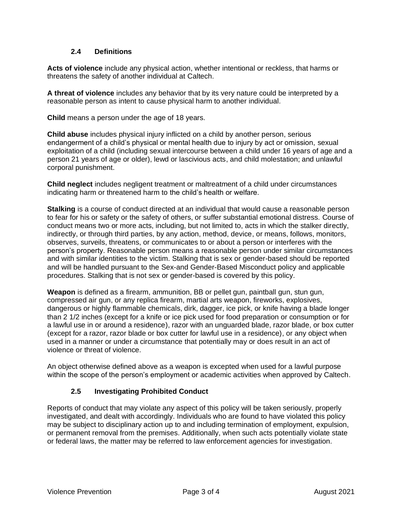#### **2.4 Definitions**

**Acts of violence** include any physical action, whether intentional or reckless, that harms or threatens the safety of another individual at Caltech.

**A threat of violence** includes any behavior that by its very nature could be interpreted by a reasonable person as intent to cause physical harm to another individual.

**Child** means a person under the age of 18 years.

**Child abuse** includes physical injury inflicted on a child by another person, serious endangerment of a child's physical or mental health due to injury by act or omission, sexual exploitation of a child (including sexual intercourse between a child under 16 years of age and a person 21 years of age or older), lewd or lascivious acts, and child molestation; and unlawful corporal punishment.

**Child neglect** includes negligent treatment or maltreatment of a child under circumstances indicating harm or threatened harm to the child's health or welfare.

**Stalking** is a course of conduct directed at an individual that would cause a reasonable person to fear for his or safety or the safety of others, or suffer substantial emotional distress. Course of conduct means two or more acts, including, but not limited to, acts in which the stalker directly, indirectly, or through third parties, by any action, method, device, or means, follows, monitors, observes, surveils, threatens, or communicates to or about a person or interferes with the person's property. Reasonable person means a reasonable person under similar circumstances and with similar identities to the victim. Stalking that is sex or gender-based should be reported and will be handled pursuant to the Sex-and Gender-Based Misconduct policy and applicable procedures. Stalking that is not sex or gender-based is covered by this policy.

**Weapon** is defined as a firearm, ammunition, BB or pellet gun, paintball gun, stun gun, compressed air gun, or any replica firearm, martial arts weapon, fireworks, explosives, dangerous or highly flammable chemicals, dirk, dagger, ice pick, or knife having a blade longer than 2 1/2 inches (except for a knife or ice pick used for food preparation or consumption or for a lawful use in or around a residence), razor with an unguarded blade, razor blade, or box cutter (except for a razor, razor blade or box cutter for lawful use in a residence), or any object when used in a manner or under a circumstance that potentially may or does result in an act of violence or threat of violence.

An object otherwise defined above as a weapon is excepted when used for a lawful purpose within the scope of the person's employment or academic activities when approved by Caltech.

#### **2.5 Investigating Prohibited Conduct**

Reports of conduct that may violate any aspect of this policy will be taken seriously, properly investigated, and dealt with accordingly. Individuals who are found to have violated this policy may be subject to disciplinary action up to and including termination of employment, expulsion, or permanent removal from the premises. Additionally, when such acts potentially violate state or federal laws, the matter may be referred to law enforcement agencies for investigation.